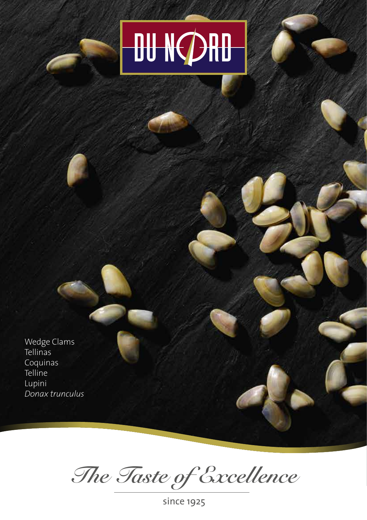## DU NCDAD

Wedge Clams Tellinas Coquinas Telline Lupini Donax trunculus

The Taste of Excellence

since 1925